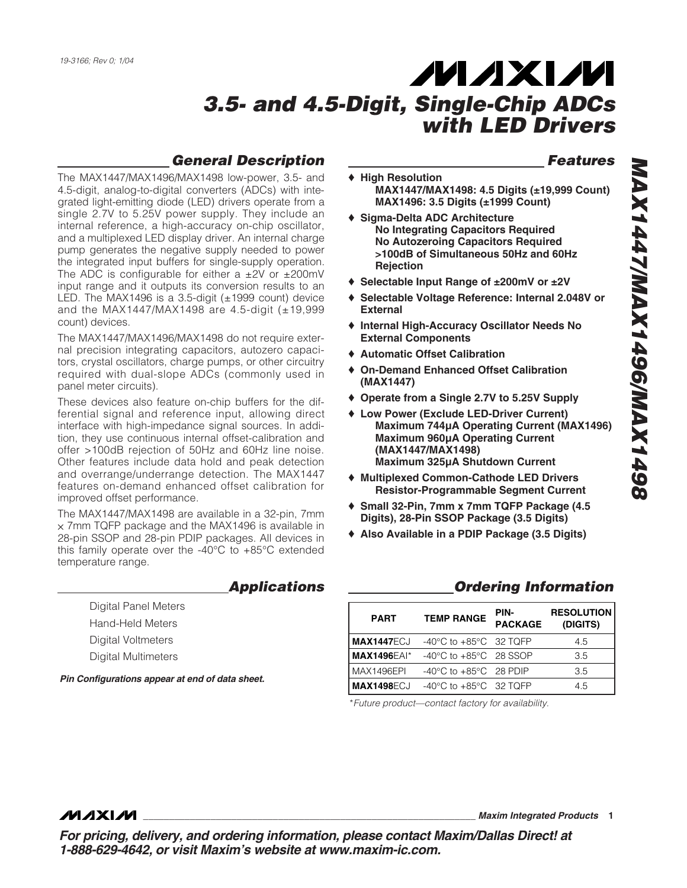count) devices.

panel meter circuits).

# **MAXM** *3.5- and 4.5-Digit, Single-Chip ADCs with LED Drivers*

### *General Description*

The MAX1447/MAX1496/MAX1498 low-power, 3.5- and 4.5-digit, analog-to-digital converters (ADCs) with integrated light-emitting diode (LED) drivers operate from a single 2.7V to 5.25V power supply. They include an internal reference, a high-accuracy on-chip oscillator, and a multiplexed LED display driver. An internal charge pump generates the negative supply needed to power the integrated input buffers for single-supply operation. The ADC is configurable for either a  $\pm 2V$  or  $\pm 200$ mV input range and it outputs its conversion results to an LED. The MAX1496 is a 3.5-digit  $(\pm 1999 \text{ count})$  device and the MAX1447/MAX1498 are 4.5-digit  $(\pm 19,999)$ 

The MAX1447/MAX1496/MAX1498 do not require external precision integrating capacitors, autozero capacitors, crystal oscillators, charge pumps, or other circuitry required with dual-slope ADCs (commonly used in

These devices also feature on-chip buffers for the differential signal and reference input, allowing direct interface with high-impedance signal sources. In addition, they use continuous internal offset-calibration and offer >100dB rejection of 50Hz and 60Hz line noise. Other features include data hold and peak detection and overrange/underrange detection. The MAX1447 features on-demand enhanced offset calibration for

The MAX1447/MAX1498 are available in a 32-pin, 7mm ✕ 7mm TQFP package and the MAX1496 is available in 28-pin SSOP and 28-pin PDIP packages. All devices in this family operate over the -40°C to +85°C extended

### *Features*

- ♦ **High Resolution MAX1447/MAX1498: 4.5 Digits (±19,999 Count) MAX1496: 3.5 Digits (±1999 Count)**
- ♦ **Sigma-Delta ADC Architecture No Integrating Capacitors Required No Autozeroing Capacitors Required >100dB of Simultaneous 50Hz and 60Hz Rejection**
- ♦ **Selectable Input Range of ±200mV or ±2V**
- ♦ **Selectable Voltage Reference: Internal 2.048V or External**
- ♦ **Internal High-Accuracy Oscillator Needs No External Components**
- ♦ **Automatic Offset Calibration**
- ♦ **On-Demand Enhanced Offset Calibration (MAX1447)**
- ♦ **Operate from a Single 2.7V to 5.25V Supply**
- ♦ **Low Power (Exclude LED-Driver Current) Maximum 744µA Operating Current (MAX1496) Maximum 960µA Operating Current (MAX1447/MAX1498) Maximum 325µA Shutdown Current**
- ♦ **Multiplexed Common-Cathode LED Drivers Resistor-Programmable Segment Current**
- ♦ **Small 32-Pin, 7mm x 7mm TQFP Package (4.5 Digits), 28-Pin SSOP Package (3.5 Digits)**
- ♦ **Also Available in a PDIP Package (3.5 Digits)**

Digital Panel Meters Hand-Held Meters Digital Voltmeters

Digital Multimeters

improved offset performance.

temperature range.

**Pin Configurations appear at end of data sheet.** 

### *Applications*

| <b>PART</b>        | <b>TEMP RANGE</b>                            | PIN-<br><b>PACKAGE</b> | <b>RESOLUTION</b><br>(DIGITS) |
|--------------------|----------------------------------------------|------------------------|-------------------------------|
| <b>MAX1447ECJ</b>  | $-40^{\circ}$ C to $+85^{\circ}$ C 32 TQFP   |                        | 4.5                           |
| <b>MAX1496EAI*</b> | $-40^{\circ}$ C to $+85^{\circ}$ C 28 SSOP   |                        | 3.5                           |
| <b>MAX1496EPI</b>  | $-40^{\circ}$ C to $+85^{\circ}$ C 28 PDIP   |                        | 3.5                           |
| <b>MAX1498ECJ</b>  | -40 $^{\circ}$ C to +85 $^{\circ}$ C 32 TQFP |                        | 4.5                           |

\**Future product—contact factory for availability.*

### **MAXIM**

**\_\_\_\_\_\_\_\_\_\_\_\_\_\_\_\_\_\_\_\_\_\_\_\_\_\_\_\_\_\_\_\_\_\_\_\_\_\_\_\_\_\_\_\_\_\_\_\_\_\_\_\_\_\_\_\_\_\_\_\_\_\_\_\_** *Maxim Integrated Products* **1**

*Ordering Information*

*For pricing, delivery, and ordering information, please contact Maxim/Dallas Direct! at 1-888-629-4642, or visit Maxim's website at www.maxim-ic.com.*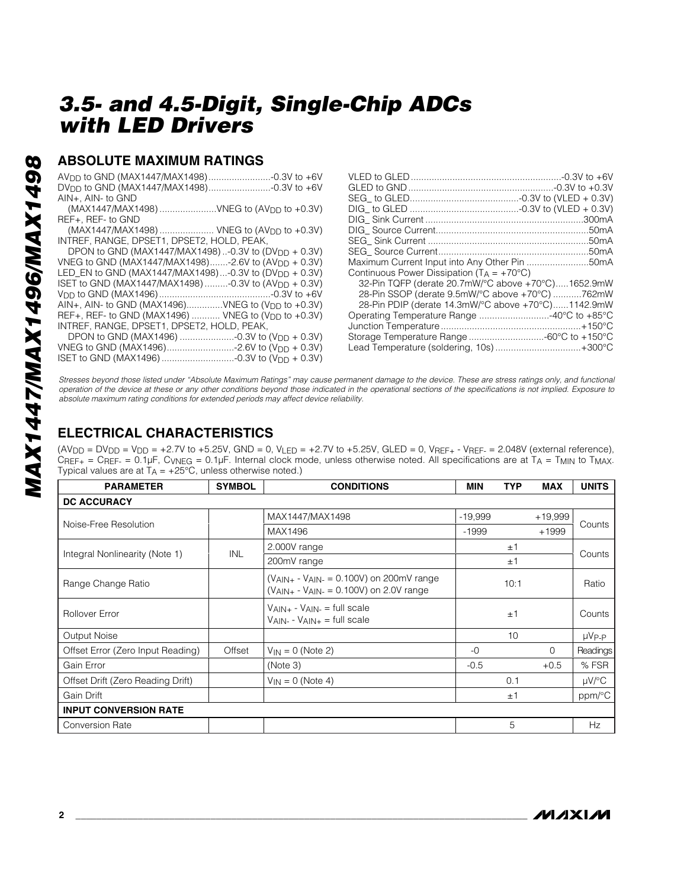### **ABSOLUTE MAXIMUM RATINGS**

| AV <sub>DD</sub> to GND (MAX1447/MAX1498)-0.3V to +6V<br>DV <sub>DD</sub> to GND (MAX1447/MAX1498)-0.3V to +6V |  |
|----------------------------------------------------------------------------------------------------------------|--|
| AIN+, AIN- to GND                                                                                              |  |
| (MAX1447/MAX1498)VNEG to (AV <sub>DD</sub> to +0.3V)                                                           |  |
| REF+. REF- to GND                                                                                              |  |
| (MAX1447/MAX1498)  VNEG to (AV <sub>DD</sub> to +0.3V)                                                         |  |
| INTREF, RANGE, DPSET1, DPSET2, HOLD, PEAK,                                                                     |  |
| DPON to GND (MAX1447/MAX1498)-0.3V to (DV <sub>DD</sub> + 0.3V)                                                |  |
| VNEG to GND (MAX1447/MAX1498)-2.6V to (AV <sub>DD</sub> + 0.3V)                                                |  |
| LED_EN to GND (MAX1447/MAX1498)-0.3V to (DV <sub>DD</sub> + 0.3V)                                              |  |
| ISET to GND (MAX1447/MAX1498) -0.3V to (AV <sub>DD</sub> + 0.3V)                                               |  |
|                                                                                                                |  |
| AIN+, AIN- to GND (MAX1496)VNEG to (V <sub>DD</sub> to +0.3V)                                                  |  |
| REF+, REF- to GND (MAX1496)  VNEG to (VDD to +0.3V)                                                            |  |
| INTREF, RANGE, DPSET1, DPSET2, HOLD, PEAK,                                                                     |  |
|                                                                                                                |  |
| VNEG to GND (MAX1496)-2.6V to (V <sub>DD</sub> + 0.3V)                                                         |  |
|                                                                                                                |  |

| Maximum Current Input into Any Other Pin 50mA         |  |
|-------------------------------------------------------|--|
| Continuous Power Dissipation ( $T_A = +70^{\circ}C$ ) |  |
| 32-Pin TQFP (derate 20.7mW/°C above +70°C)1652.9mW    |  |
| 28-Pin SSOP (derate 9.5mW/°C above +70°C) 762mW       |  |
| 28-Pin PDIP (derate 14.3mW/°C above +70°C)1142.9mW    |  |
| Operating Temperature Range 40°C to +85°C             |  |
|                                                       |  |
|                                                       |  |
| Lead Temperature (soldering, 10s)+300°C               |  |

*Stresses beyond those listed under "Absolute Maximum Ratings" may cause permanent damage to the device. These are stress ratings only, and functional operation of the device at these or any other conditions beyond those indicated in the operational sections of the specifications is not implied. Exposure to absolute maximum rating conditions for extended periods may affect device reliability.*

### **ELECTRICAL CHARACTERISTICS**

 $(AV_{DD} = V_{DD} = V_{DD} = +2.7V$  to  $+5.25V$ , GND = 0,  $V_{LED} = +2.7V$  to  $+5.25V$ , GLED = 0,  $V_{REF}$  -  $V_{REF}$  = 2.048V (external reference),  $C_{REF+} = C_{REF-} = 0.1 \mu$ F, C $V_{NEG} = 0.1 \mu$ F. Internal clock mode, unless otherwise noted. All specifications are at  $T_A = T_{MIN}$  to  $T_{MAX}$ . Typical values are at  $T_\mathsf{A}$  = +25°C, unless otherwise noted.)

| <b>PARAMETER</b>                  | <b>SYMBOL</b> | <b>CONDITIONS</b><br><b>TYP</b><br><b>MAX</b><br>MIN                                                     |           |         | <b>UNITS</b> |               |
|-----------------------------------|---------------|----------------------------------------------------------------------------------------------------------|-----------|---------|--------------|---------------|
| <b>DC ACCURACY</b>                |               |                                                                                                          |           |         |              |               |
|                                   |               | MAX1447/MAX1498                                                                                          | $-19,999$ |         | $+19,999$    |               |
| Noise-Free Resolution             |               | MAX1496                                                                                                  | $-1999$   |         | $+1999$      | Counts        |
|                                   |               | 2.000V range                                                                                             |           | ±1      |              |               |
| Integral Nonlinearity (Note 1)    | <b>INL</b>    | 200mV range                                                                                              |           | ±1      |              | Counts        |
| Range Change Ratio                |               | $(V_{AlN+} - V_{AlN-} = 0.100V)$ on 200mV range<br>$(V_{AlN+} - V_{AlN-} = 0.100V)$ on 2.0V range        |           | 10:1    |              | Ratio         |
| <b>Rollover Error</b>             |               | $V_{\text{AlN+}}$ - $V_{\text{AlN-}}$ = full scale<br>$V_{\text{AIN-}}$ - $V_{\text{AIN+}}$ = full scale |           | $\pm$ 1 |              | Counts        |
| <b>Output Noise</b>               |               |                                                                                                          |           | 10      |              | $\mu V_{P-P}$ |
| Offset Error (Zero Input Reading) | Offset        | $V_{IN} = 0$ (Note 2)                                                                                    | $-0$      |         | 0            | Readings      |
| Gain Error                        |               | (Note 3)                                                                                                 | $-0.5$    |         | $+0.5$       | % FSR         |
| Offset Drift (Zero Reading Drift) |               | $V_{IN} = 0$ (Note 4)                                                                                    |           | 0.1     |              | $\mu$ V/°C    |
| Gain Drift                        |               |                                                                                                          |           | ±1      |              | ppm/°C        |
| <b>INPUT CONVERSION RATE</b>      |               |                                                                                                          |           |         |              |               |
| <b>Conversion Rate</b>            |               |                                                                                                          |           | 5       |              | Hz            |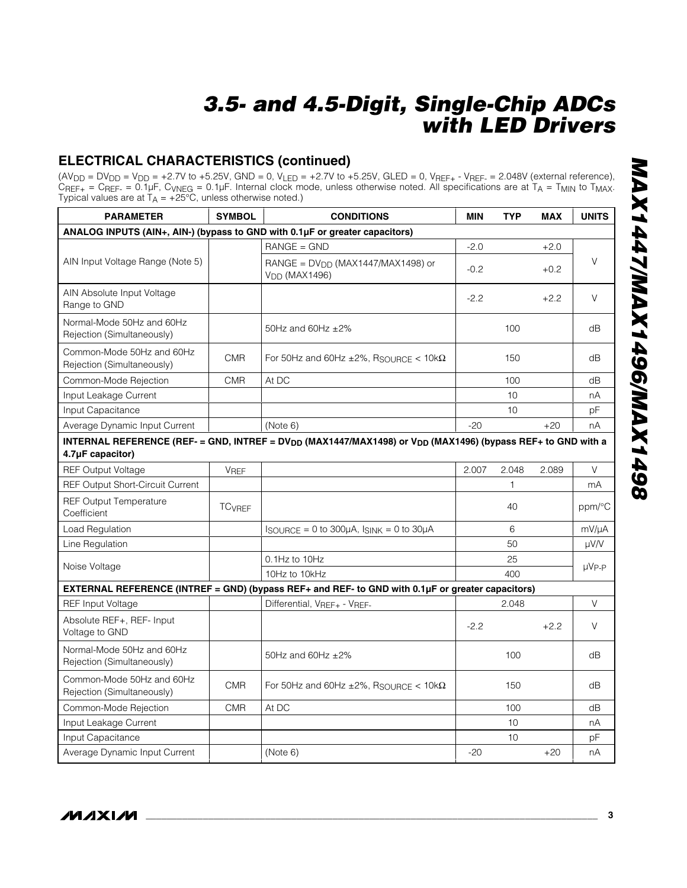### **ELECTRICAL CHARACTERISTICS (continued)**

 $(AV_{DD} = DV_{DD} = V_{DD} = +2.7V$  to  $+5.25V$ ,  $GND = 0$ ,  $V_{LED} = +2.7V$  to  $+5.25V$ ,  $GLED = 0$ ,  $V_{REF}$  -  $V_{REF}$  = 2.048V (external reference),  $C$ REF<sub>+</sub> = CREF<sub>-</sub> = 0.1µF, C<sub>VNEG</sub> = 0.1µF. Internal clock mode, unless otherwise noted. All specifications are at  $T_A$  = T<sub>MIN</sub> to T<sub>MAX</sub>. Typical values are at  $T_A$  = +25°C, unless otherwise noted.)

| <b>PARAMETER</b>                                        | <b>SYMBOL</b><br><b>CONDITIONS</b> |                                                                                                                                     | <b>MIN</b> | <b>TYP</b> | <b>MAX</b> | <b>UNITS</b>  |
|---------------------------------------------------------|------------------------------------|-------------------------------------------------------------------------------------------------------------------------------------|------------|------------|------------|---------------|
|                                                         |                                    | ANALOG INPUTS (AIN+, AIN-) (bypass to GND with 0.1µF or greater capacitors)                                                         |            |            |            |               |
|                                                         |                                    | $RANGE = GND$                                                                                                                       | $-2.0$     |            | $+2.0$     |               |
| AIN Input Voltage Range (Note 5)                        |                                    | $RANGE = DVDD (MAX1447/MAX1498)$ or<br>$VDD$ (MAX1496)                                                                              | $-0.2$     |            | $+0.2$     | V             |
| AIN Absolute Input Voltage<br>Range to GND              |                                    |                                                                                                                                     | $-2.2$     |            | $+2.2$     | $\vee$        |
| Normal-Mode 50Hz and 60Hz<br>Rejection (Simultaneously) |                                    | 50Hz and 60Hz $\pm 2\%$                                                                                                             |            | 100        |            | dB            |
| Common-Mode 50Hz and 60Hz<br>Rejection (Simultaneously) | <b>CMR</b>                         | For 50Hz and 60Hz $\pm$ 2%, R <sub>SOURCE</sub> < 10k $\Omega$                                                                      |            | 150        |            | dВ            |
| Common-Mode Rejection                                   | <b>CMR</b>                         | At DC                                                                                                                               |            | 100        |            | dB            |
| Input Leakage Current                                   |                                    |                                                                                                                                     |            | 10         |            | nA            |
| Input Capacitance                                       |                                    |                                                                                                                                     |            | 10         |            | pF            |
| Average Dynamic Input Current                           |                                    | (Note 6)                                                                                                                            | $-20$      |            | $+20$      | nA            |
| 4.7µF capacitor)                                        |                                    | INTERNAL REFERENCE (REF- = GND, INTREF = DV <sub>DD</sub> (MAX1447/MAX1498) or V <sub>DD</sub> (MAX1496) (bypass REF+ to GND with a |            |            |            |               |
| <b>REF Output Voltage</b>                               | VREF                               |                                                                                                                                     | 2.007      | 2.048      | 2.089      | $\vee$        |
| <b>REF Output Short-Circuit Current</b>                 |                                    |                                                                                                                                     |            | 1          |            | mА            |
| <b>REF Output Temperature</b><br>Coefficient            | <b>TC<sub>VREF</sub></b>           |                                                                                                                                     |            | 40         |            | ppm/°C        |
| Load Regulation                                         |                                    | $I_{\text{SOURCE}} = 0$ to 300µA, $I_{\text{SINK}} = 0$ to 30µA                                                                     |            | 6          |            | mV/µA         |
| Line Regulation                                         |                                    |                                                                                                                                     |            | 50         |            | $\mu$ V/V     |
|                                                         |                                    | $0.1$ Hz to $10$ Hz                                                                                                                 |            | 25         |            |               |
| Noise Voltage                                           |                                    | 10Hz to 10kHz                                                                                                                       |            | 400        |            | $\mu V_{P-P}$ |
|                                                         |                                    | EXTERNAL REFERENCE (INTREF = GND) (bypass REF+ and REF- to GND with 0.1µF or greater capacitors)                                    |            |            |            |               |
| <b>REF Input Voltage</b>                                |                                    | Differential, VREF+ - VREF-                                                                                                         |            | 2.048      |            | V             |
| Absolute REF+, REF- Input<br>Voltage to GND             |                                    |                                                                                                                                     | $-2.2$     |            | $+2.2$     | V             |
| Normal-Mode 50Hz and 60Hz<br>Rejection (Simultaneously) |                                    | 50Hz and 60Hz $\pm 2\%$                                                                                                             |            | 100        |            | dB            |
| Common-Mode 50Hz and 60Hz<br>Rejection (Simultaneously) | <b>CMR</b>                         | For 50Hz and 60Hz $\pm 2\%$ , RSOURCE < 10k $\Omega$                                                                                |            | 150        |            | dB            |
| Common-Mode Rejection                                   | <b>CMR</b>                         | At DC                                                                                                                               |            | 100        |            | dB            |
| Input Leakage Current                                   |                                    |                                                                                                                                     |            | 10         |            | nA            |
| Input Capacitance                                       |                                    |                                                                                                                                     |            | 10         |            | рF            |
| Average Dynamic Input Current                           |                                    | (Note 6)                                                                                                                            | $-20$      |            | $+20$      | nA            |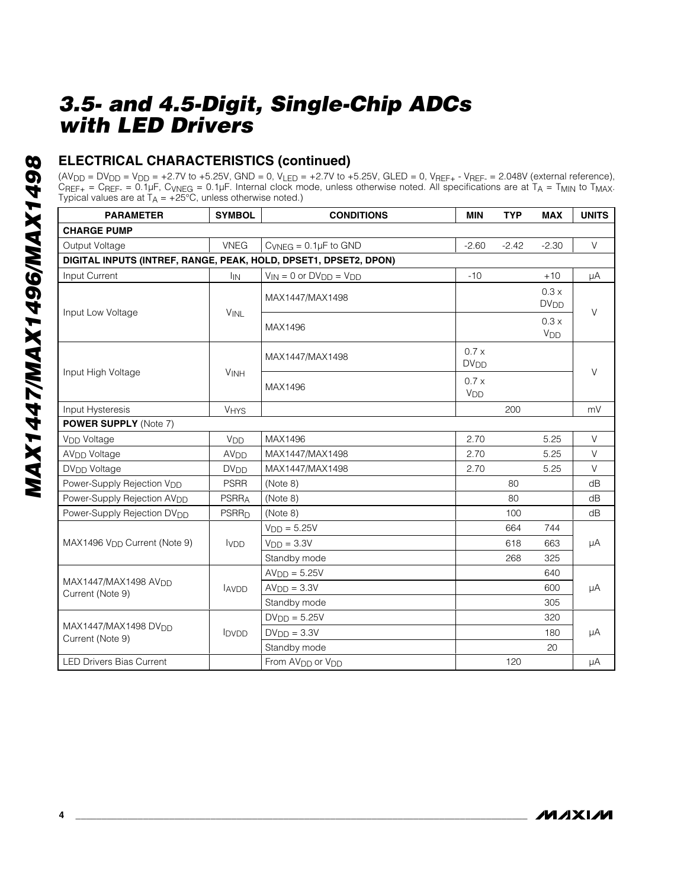### **ELECTRICAL CHARACTERISTICS (continued)**

 $(AV_{DD} = DV_{DD} = V_{DD} = +2.7V$  to  $+5.25V$ ,  $GND = 0$ ,  $V_{LED} = +2.7V$  to  $+5.25V$ ,  $GLED = 0$ ,  $V_{REF}$  -  $V_{REF}$  = 2.048V (external reference),  $C_{REF+} = C_{REF-} = 0.1 \mu F$ ,  $C_{VNEG} = 0.1 \mu F$ . Internal clock mode, unless otherwise noted. All specifications are at  $T_A = T_{MIN}$  to  $T_{MAX}$ . Typical values are at  $T_A$  = +25°C, unless otherwise noted.)

| <b>PARAMETER</b>                                                 | <b>SYMBOL</b>           | <b>CONDITIONS</b>                        | <b>MIN</b>                      | <b>TYP</b> | <b>MAX</b>                     | <b>UNITS</b> |  |
|------------------------------------------------------------------|-------------------------|------------------------------------------|---------------------------------|------------|--------------------------------|--------------|--|
| <b>CHARGE PUMP</b>                                               |                         |                                          |                                 |            |                                |              |  |
| Output Voltage                                                   | <b>VNEG</b>             | $C_{VNEG} = 0.1 \mu F$ to GND            | $-2.60$                         | $-2.42$    | $-2.30$                        | $\vee$       |  |
| DIGITAL INPUTS (INTREF, RANGE, PEAK, HOLD, DPSET1, DPSET2, DPON) |                         |                                          |                                 |            |                                |              |  |
| Input Current                                                    | <b>I<sub>IN</sub></b>   | $V_{IN} = 0$ or $DV_{DD} = V_{DD}$       | $-10$                           |            | $+10$                          | μA           |  |
|                                                                  |                         | MAX1447/MAX1498                          |                                 |            | 0.3x<br><b>DV<sub>DD</sub></b> |              |  |
| Input Low Voltage                                                | <b>VINL</b>             | MAX1496                                  |                                 |            | 0.3x<br><b>V<sub>DD</sub></b>  | $\mathsf V$  |  |
|                                                                  |                         | MAX1447/MAX1498                          | 0.7 x<br><b>DV<sub>DD</sub></b> |            |                                |              |  |
| Input High Voltage                                               | <b>VINH</b>             | MAX1496                                  | $0.7 \times$<br>V <sub>DD</sub> |            |                                | $\vee$       |  |
| Input Hysteresis                                                 | <b>VHYS</b>             |                                          |                                 | 200        |                                | mV           |  |
| <b>POWER SUPPLY (Note 7)</b>                                     |                         |                                          |                                 |            |                                |              |  |
| V <sub>DD</sub> Voltage                                          | V <sub>DD</sub>         | MAX1496                                  | 2.70                            |            | 5.25                           | $\vee$       |  |
| AV <sub>DD</sub> Voltage                                         | AV <sub>DD</sub>        | MAX1447/MAX1498                          | 2.70                            |            | 5.25                           | V            |  |
| DV <sub>DD</sub> Voltage                                         | <b>DV<sub>DD</sub></b>  | MAX1447/MAX1498                          | 2.70                            |            | 5.25                           | $\vee$       |  |
| Power-Supply Rejection V <sub>DD</sub>                           | <b>PSRR</b>             | (Note 8)                                 |                                 | 80         |                                | dB           |  |
| Power-Supply Rejection AV <sub>DD</sub>                          | <b>PSRRA</b>            | (Note 8)                                 |                                 | 80         |                                | dB           |  |
| Power-Supply Rejection DV <sub>DD</sub>                          | <b>PSRR<sub>D</sub></b> | (Note 8)                                 |                                 | 100        |                                | dB           |  |
|                                                                  |                         | $VDD = 5.25V$                            |                                 | 664        | 744                            |              |  |
| MAX1496 V <sub>DD</sub> Current (Note 9)                         | <b>IVDD</b>             | $VDD = 3.3V$                             |                                 | 618        | 663                            | μA           |  |
|                                                                  |                         | Standby mode                             |                                 | 268        | 325                            |              |  |
|                                                                  |                         | $AVDD = 5.25V$                           |                                 |            | 640                            |              |  |
| MAX1447/MAX1498 AV <sub>DD</sub><br>Current (Note 9)             | <b>AVDD</b>             | $AVDD = 3.3V$                            |                                 |            | 600                            | μA           |  |
|                                                                  |                         | Standby mode                             |                                 |            | 305                            |              |  |
|                                                                  |                         | $DVDD = 5.25V$                           |                                 |            | 320                            |              |  |
| MAX1447/MAX1498 DV <sub>DD</sub><br>Current (Note 9)             | <b>IDVDD</b>            | $D V_{DD} = 3.3 V$                       |                                 |            | 180                            | μA           |  |
|                                                                  |                         | Standby mode                             |                                 |            | 20                             |              |  |
| <b>LED Drivers Bias Current</b>                                  |                         | From AV <sub>DD</sub> or V <sub>DD</sub> |                                 | 120        |                                | μA           |  |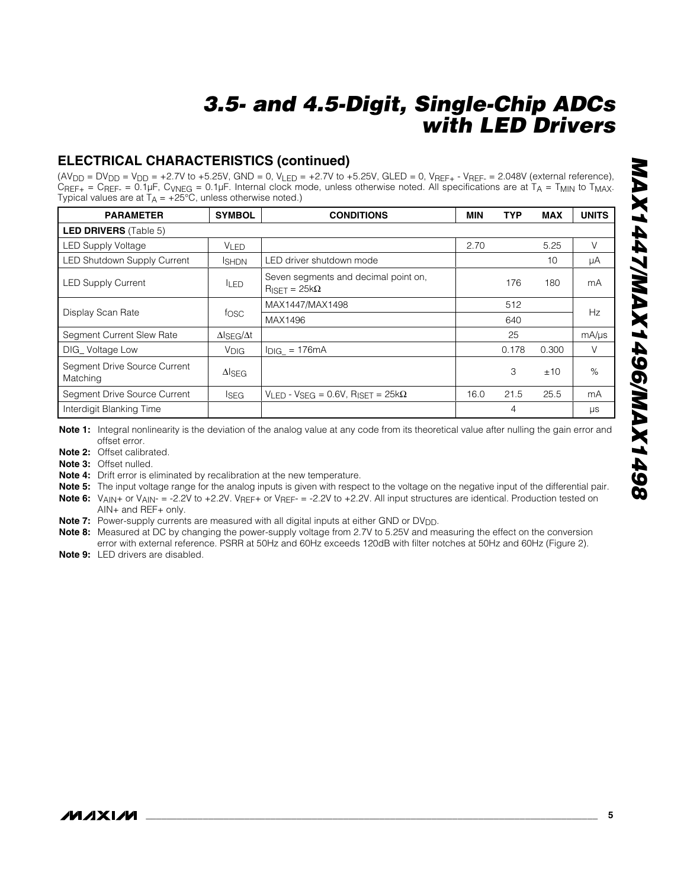### **ELECTRICAL CHARACTERISTICS (continued)**

 $(AV_{DD} = V_{DD} = V_{DD} = +2.7V$  to  $+5.25V$ , GND = 0,  $V_{LED} = +2.7V$  to  $+5.25V$ , GLED = 0,  $V_{REF}$  -  $V_{REF}$  = 2.048V (external reference)  $C_{REF+} = C_{REF-} = 0.1 \mu$ F, C $V_{NEG} = 0.1 \mu$ F. Internal clock mode, unless otherwise noted. All specifications are at T<sub>A</sub> = T<sub>MIN</sub> to T<sub>MAX</sub>. Typical values are at  $T_\mathsf{A}$  = +25°C, unless otherwise noted.)

| <b>PARAMETER</b>                         | <b>SYMBOL</b><br><b>CONDITIONS</b>   |                                                                       | <b>MIN</b> | <b>TYP</b> | <b>MAX</b> | <b>UNITS</b> |
|------------------------------------------|--------------------------------------|-----------------------------------------------------------------------|------------|------------|------------|--------------|
| <b>LED DRIVERS</b> (Table 5)             |                                      |                                                                       |            |            |            |              |
| <b>LED Supply Voltage</b>                | <b>VLED</b>                          |                                                                       | 2.70       |            | 5.25       | $\vee$       |
| LED Shutdown Supply Current              | <b>ISHDN</b>                         | LED driver shutdown mode                                              |            |            | 10         | μA           |
| <b>LED Supply Current</b>                | <b>ILED</b>                          | Seven segments and decimal point on,<br>$R_{\text{ISFT}} = 25k\Omega$ |            | 176        | 180        | mA           |
|                                          | fosc                                 | MAX1447/MAX1498                                                       | 512        |            |            | Hz           |
| Display Scan Rate                        |                                      | MAX1496                                                               | 640        |            |            |              |
| Segment Current Slew Rate                | $\Delta$ <sub>SEG</sub> / $\Delta$ t |                                                                       |            | 25         |            | mA/µs        |
| DIG Voltage Low                          | <b>V</b> DIG                         | $I_{\text{DIG}} = 176 \text{mA}$                                      |            | 0.178      | 0.300      | V            |
| Segment Drive Source Current<br>Matching | $\Delta$ <sub>SEG</sub>              |                                                                       |            | 3          | ±10        | $\%$         |
| Segment Drive Source Current             | <b>ISEG</b>                          | $V_{LED}$ - $V_{SEG}$ = 0.6V, R <sub>ISET</sub> = 25k $\Omega$        | 16.0       | 21.5       | 25.5       | mA           |
| Interdigit Blanking Time                 |                                      |                                                                       |            | 4          |            | μs           |

**Note 1:** Integral nonlinearity is the deviation of the analog value at any code from its theoretical value after nulling the gain error and offset error.

**Note 2:** Offset calibrated.

**Note 3:** Offset nulled.

**Note 4:** Drift error is eliminated by recalibration at the new temperature.

Note 5: The input voltage range for the analog inputs is given with respect to the voltage on the negative input of the differential pair. **Note 6:** VAIN+ or VAIN- = -2.2V to +2.2V. VREF+ or VREF- = -2.2V to +2.2V. All input structures are identical. Production tested on AIN+ and REF+ only.

**Note 7:** Power-supply currents are measured with all digital inputs at either GND or DV<sub>DD</sub>.

**Note 8:** Measured at DC by changing the power-supply voltage from 2.7V to 5.25V and measuring the effect on the conversion error with external reference. PSRR at 50Hz and 60Hz exceeds 120dB with filter notches at 50Hz and 60Hz (Figure 2).

**Note 9:** LED drivers are disabled.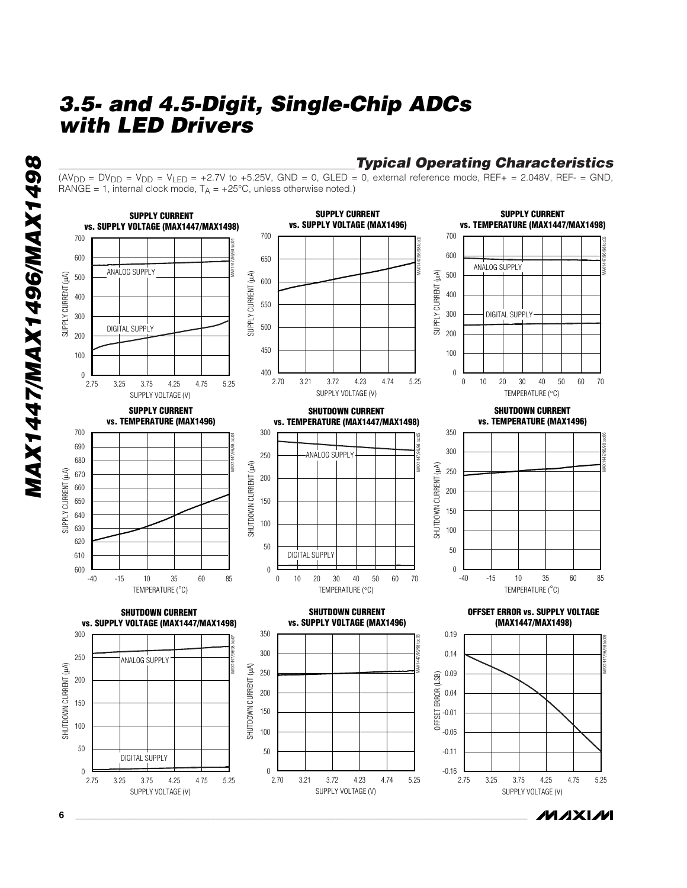$(AV_{DD} = VV_{DD} = V_{DD} = V_{LED} = +2.7V$  to  $+5.25V$ , GND = 0, GLED = 0, external reference mode, REF+ = 2.048V, REF- = GND,  $\mathsf{RANGE} = 1$ , internal clock mode,  $\mathsf{T_A} = +25^{\circ}\mathsf{C}$ , unless otherwise noted.)

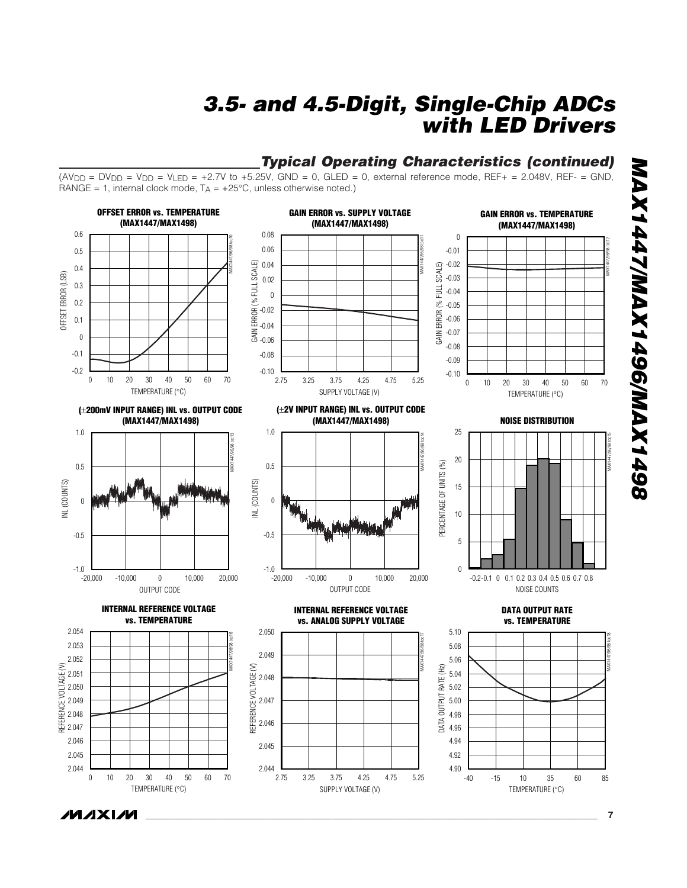### *Typical Operating Characteristics (continued)*

 $(AV_{DD} = V_{DD} = V_{DD} = V_{LED} = +2.7V$  to  $+5.25V$ , GND = 0, GLED = 0, external reference mode, REF+ = 2.048V, REF- = GND,  $\text{RANGE} = 1$ , internal clock mode,  $T_A = +25^{\circ}\text{C}$ , unless otherwise noted.)



*\_\_\_\_\_\_\_\_\_\_\_\_\_\_\_\_\_\_\_\_\_\_\_\_\_\_\_\_\_\_\_\_\_\_\_\_\_\_\_\_\_\_\_\_\_\_\_\_\_\_\_\_\_\_\_\_\_\_\_\_\_\_\_\_\_\_\_\_\_\_\_\_\_\_\_\_\_\_\_\_\_\_\_\_\_\_\_*

**MAXM** 

**7**

*MAX1447/MAX1496/MAX1498*

**86+1447/MAX1496/MAX1498**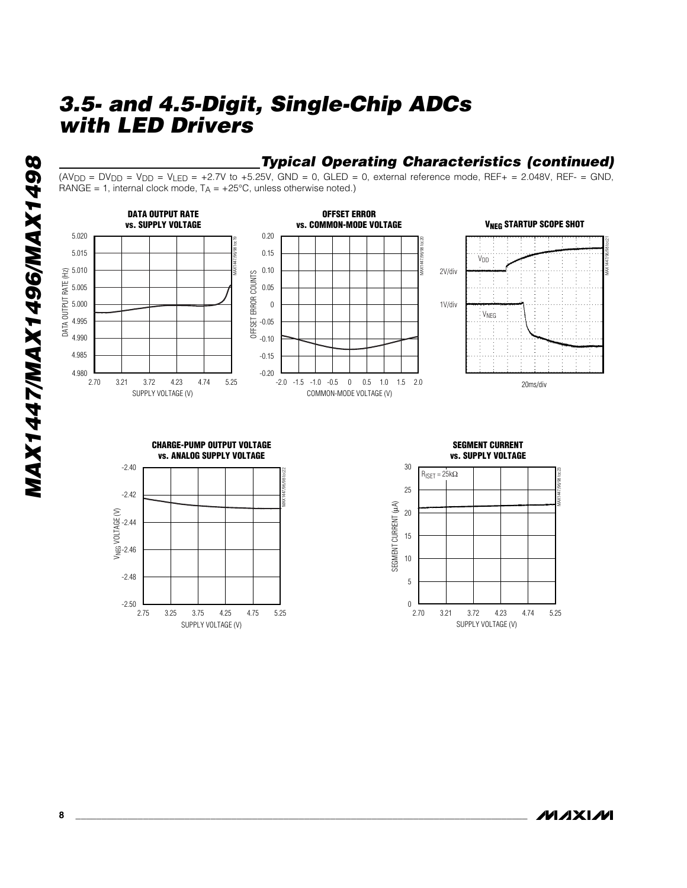$(AV_{DD} = V_{DD} = V_{DD} = V_{LED} = +2.7V$  to +5.25V, GND = 0, GLED = 0, external reference mode, REF+ = 2.048V, REF- = GND,  $\text{RANGE} = 1$ , internal clock mode,  $T_A = +25^{\circ}\text{C}$ , unless otherwise noted.)



**MAX1447/MAX1496/MAX1498** *MAX1447/MAX1496/MAX1498*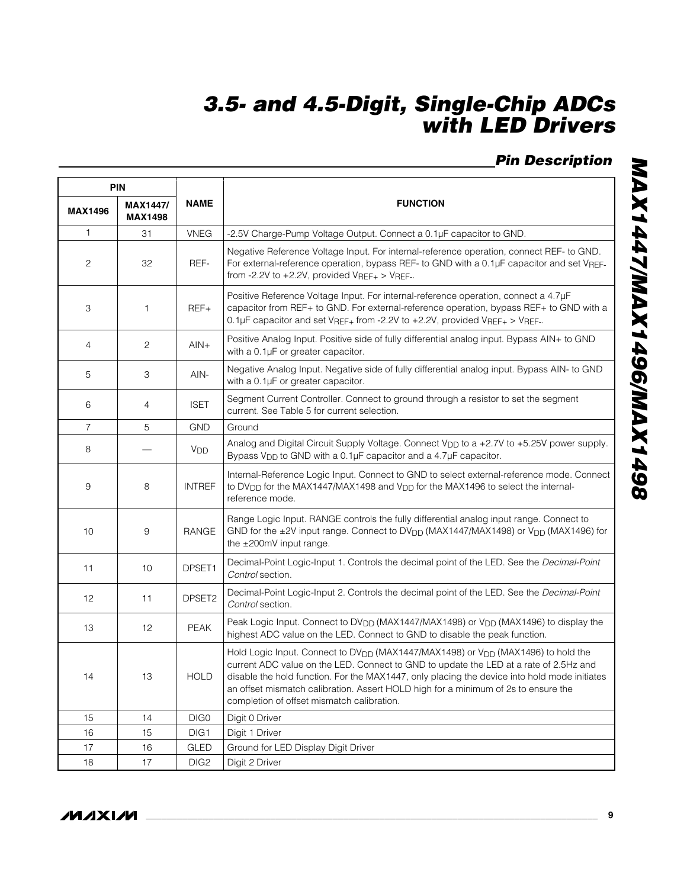## *Pin Description*

| <b>PIN</b>     |                                   |                  |                                                                                                                                                                                                                                                                                                                                                                                                                                       |
|----------------|-----------------------------------|------------------|---------------------------------------------------------------------------------------------------------------------------------------------------------------------------------------------------------------------------------------------------------------------------------------------------------------------------------------------------------------------------------------------------------------------------------------|
| <b>MAX1496</b> | <b>MAX1447/</b><br><b>MAX1498</b> | <b>NAME</b>      | <b>FUNCTION</b>                                                                                                                                                                                                                                                                                                                                                                                                                       |
| 1              | 31                                | <b>VNEG</b>      | -2.5V Charge-Pump Voltage Output. Connect a 0.1µF capacitor to GND.                                                                                                                                                                                                                                                                                                                                                                   |
| 2              | 32                                | REF-             | Negative Reference Voltage Input. For internal-reference operation, connect REF- to GND.<br>For external-reference operation, bypass REF- to GND with a 0.1µF capacitor and set VREF-<br>from -2.2V to +2.2V, provided $V_{REF+} > V_{REF-}$ .                                                                                                                                                                                        |
| 3              | 1                                 | REF+             | Positive Reference Voltage Input. For internal-reference operation, connect a 4.7µF<br>capacitor from REF+ to GND. For external-reference operation, bypass REF+ to GND with a<br>0.1µF capacitor and set $V_{REF+}$ from -2.2V to +2.2V, provided $V_{REF+} > V_{REF-}$ .                                                                                                                                                            |
| 4              | $\overline{c}$                    | $AlN+$           | Positive Analog Input. Positive side of fully differential analog input. Bypass AIN+ to GND<br>with a 0.1µF or greater capacitor.                                                                                                                                                                                                                                                                                                     |
| 5              | З                                 | AIN-             | Negative Analog Input. Negative side of fully differential analog input. Bypass AIN- to GND<br>with a 0.1µF or greater capacitor.                                                                                                                                                                                                                                                                                                     |
| 6              | 4                                 | <b>ISET</b>      | Segment Current Controller. Connect to ground through a resistor to set the segment<br>current. See Table 5 for current selection.                                                                                                                                                                                                                                                                                                    |
| $\overline{7}$ | 5                                 | <b>GND</b>       | Ground                                                                                                                                                                                                                                                                                                                                                                                                                                |
| 8              |                                   | V <sub>DD</sub>  | Analog and Digital Circuit Supply Voltage. Connect V <sub>DD</sub> to a +2.7V to +5.25V power supply.<br>Bypass V <sub>DD</sub> to GND with a 0.1µF capacitor and a 4.7µF capacitor.                                                                                                                                                                                                                                                  |
| 9              | 8                                 | <b>INTREF</b>    | Internal-Reference Logic Input. Connect to GND to select external-reference mode. Connect<br>to DV <sub>DD</sub> for the MAX1447/MAX1498 and V <sub>DD</sub> for the MAX1496 to select the internal-<br>reference mode.                                                                                                                                                                                                               |
| 10             | 9                                 | RANGE            | Range Logic Input. RANGE controls the fully differential analog input range. Connect to<br>GND for the ±2V input range. Connect to DV <sub>DD</sub> (MAX1447/MAX1498) or V <sub>DD</sub> (MAX1496) for<br>the $\pm 200$ mV input range.                                                                                                                                                                                               |
| 11             | 10                                | DPSET1           | Decimal-Point Logic-Input 1. Controls the decimal point of the LED. See the Decimal-Point<br>Control section.                                                                                                                                                                                                                                                                                                                         |
| 12             | 11                                | DPSET2           | Decimal-Point Logic-Input 2. Controls the decimal point of the LED. See the Decimal-Point<br>Control section.                                                                                                                                                                                                                                                                                                                         |
| 13             | 12                                | <b>PEAK</b>      | Peak Logic Input. Connect to DV <sub>DD</sub> (MAX1447/MAX1498) or V <sub>DD</sub> (MAX1496) to display the<br>highest ADC value on the LED. Connect to GND to disable the peak function.                                                                                                                                                                                                                                             |
| 14             | 13                                | <b>HOLD</b>      | Hold Logic Input. Connect to DV <sub>DD</sub> (MAX1447/MAX1498) or V <sub>DD</sub> (MAX1496) to hold the<br>current ADC value on the LED. Connect to GND to update the LED at a rate of 2.5Hz and<br>disable the hold function. For the MAX1447, only placing the device into hold mode initiates<br>an offset mismatch calibration. Assert HOLD high for a minimum of 2s to ensure the<br>completion of offset mismatch calibration. |
| 15             | 14                                | DIG0             | Digit 0 Driver                                                                                                                                                                                                                                                                                                                                                                                                                        |
| 16             | 15                                | DIG1             | Digit 1 Driver                                                                                                                                                                                                                                                                                                                                                                                                                        |
| 17             | 16                                | <b>GLED</b>      | Ground for LED Display Digit Driver                                                                                                                                                                                                                                                                                                                                                                                                   |
| 18             | 17                                | DIG <sub>2</sub> | Digit 2 Driver                                                                                                                                                                                                                                                                                                                                                                                                                        |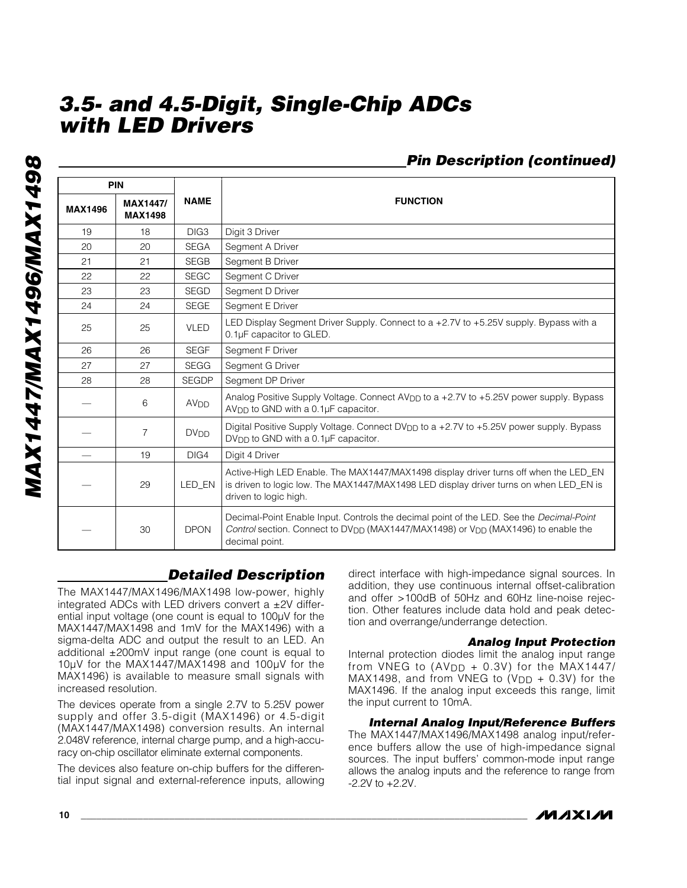### *Pin Description (continued)*

|                | <b>PIN</b>                        |                        |                                                                                                                                                                                                                         |  |  |
|----------------|-----------------------------------|------------------------|-------------------------------------------------------------------------------------------------------------------------------------------------------------------------------------------------------------------------|--|--|
| <b>MAX1496</b> | <b>MAX1447/</b><br><b>MAX1498</b> | <b>NAME</b>            | <b>FUNCTION</b>                                                                                                                                                                                                         |  |  |
| 19             | 18                                | DIG <sub>3</sub>       | Digit 3 Driver                                                                                                                                                                                                          |  |  |
| 20             | 20                                | <b>SEGA</b>            | Segment A Driver                                                                                                                                                                                                        |  |  |
| 21             | 21                                | <b>SEGB</b>            | Segment B Driver                                                                                                                                                                                                        |  |  |
| 22             | 22                                | <b>SEGC</b>            | Segment C Driver                                                                                                                                                                                                        |  |  |
| 23             | 23                                | <b>SEGD</b>            | Segment D Driver                                                                                                                                                                                                        |  |  |
| 24             | 24                                | <b>SEGE</b>            | Segment E Driver                                                                                                                                                                                                        |  |  |
| 25             | 25                                | <b>VLED</b>            | LED Display Segment Driver Supply. Connect to a +2.7V to +5.25V supply. Bypass with a<br>0.1µF capacitor to GLED.                                                                                                       |  |  |
| 26             | 26                                | <b>SEGF</b>            | Segment F Driver                                                                                                                                                                                                        |  |  |
| 27             | 27                                | <b>SEGG</b>            | Segment G Driver                                                                                                                                                                                                        |  |  |
| 28             | 28                                | <b>SEGDP</b>           | Segment DP Driver                                                                                                                                                                                                       |  |  |
|                | 6                                 | AV <sub>DD</sub>       | Analog Positive Supply Voltage. Connect AV <sub>DD</sub> to a +2.7V to +5.25V power supply. Bypass<br>AV <sub>DD</sub> to GND with a 0.1µF capacitor.                                                                   |  |  |
|                | $\overline{7}$                    | <b>DV<sub>DD</sub></b> | Digital Positive Supply Voltage. Connect $D_V$ <sub>DD</sub> to a +2.7V to +5.25V power supply. Bypass<br>DV <sub>DD</sub> to GND with a 0.1µF capacitor.                                                               |  |  |
|                | 19                                | DIG4                   | Digit 4 Driver                                                                                                                                                                                                          |  |  |
|                | 29                                | LED EN                 | Active-High LED Enable. The MAX1447/MAX1498 display driver turns off when the LED_EN<br>is driven to logic low. The MAX1447/MAX1498 LED display driver turns on when LED EN is<br>driven to logic high.                 |  |  |
|                | 30                                | <b>DPON</b>            | Decimal-Point Enable Input. Controls the decimal point of the LED. See the Decimal-Point<br>Control section. Connect to DV <sub>DD</sub> (MAX1447/MAX1498) or V <sub>DD</sub> (MAX1496) to enable the<br>decimal point. |  |  |

### *Detailed Description*

The MAX1447/MAX1496/MAX1498 low-power, highly integrated ADCs with LED drivers convert a  $\pm 2V$  differential input voltage (one count is equal to 100µV for the MAX1447/MAX1498 and 1mV for the MAX1496) with a sigma-delta ADC and output the result to an LED. An additional ±200mV input range (one count is equal to 10µV for the MAX1447/MAX1498 and 100µV for the MAX1496) is available to measure small signals with increased resolution.

The devices operate from a single 2.7V to 5.25V power supply and offer 3.5-digit (MAX1496) or 4.5-digit (MAX1447/MAX1498) conversion results. An internal 2.048V reference, internal charge pump, and a high-accuracy on-chip oscillator eliminate external components.

The devices also feature on-chip buffers for the differential input signal and external-reference inputs, allowing direct interface with high-impedance signal sources. In addition, they use continuous internal offset-calibration and offer >100dB of 50Hz and 60Hz line-noise rejection. Other features include data hold and peak detection and overrange/underrange detection.

### *Analog Input Protection*

**MAXM** 

Internal protection diodes limit the analog input range from VNEG to  $(AV_{DD} + 0.3V)$  for the MAX1447/ MAX1498, and from VNEG to  $(V_{DD} + 0.3V)$  for the MAX1496. If the analog input exceeds this range, limit the input current to 10mA.

*Internal Analog Input/Reference Buffers*

The MAX1447/MAX1496/MAX1498 analog input/reference buffers allow the use of high-impedance signal sources. The input buffers' common-mode input range allows the analog inputs and the reference to range from -2.2V to +2.2V.

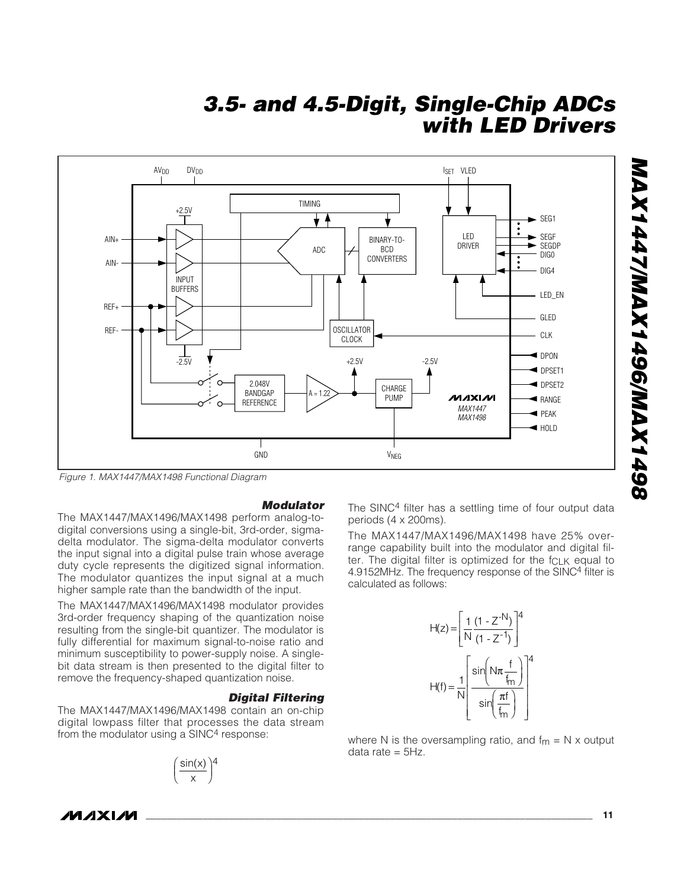

*Figure 1. MAX1447/MAX1498 Functional Diagram*

#### *Modulator*

The MAX1447/MAX1496/MAX1498 perform analog-todigital conversions using a single-bit, 3rd-order, sigmadelta modulator. The sigma-delta modulator converts the input signal into a digital pulse train whose average duty cycle represents the digitized signal information. The modulator quantizes the input signal at a much higher sample rate than the bandwidth of the input.

The MAX1447/MAX1496/MAX1498 modulator provides 3rd-order frequency shaping of the quantization noise resulting from the single-bit quantizer. The modulator is fully differential for maximum signal-to-noise ratio and minimum susceptibility to power-supply noise. A singlebit data stream is then presented to the digital filter to remove the frequency-shaped quantization noise.

#### *Digital Filtering*

The MAX1447/MAX1496/MAX1498 contain an on-chip digital lowpass filter that processes the data stream from the modulator using a SINC<sup>4</sup> response:



The SINC<sup>4</sup> filter has a settling time of four output data periods (4 x 200ms).

The MAX1447/MAX1496/MAX1498 have 25% overrange capability built into the modulator and digital filter. The digital filter is optimized for the fCLK equal to 4.9152MHz. The frequency response of the SINC 4 filter is calculated as follows:

$$
H(z) = \left[\frac{1}{N} \frac{(1 - Z^{-N})}{(1 - Z^{-1})}\right]^4
$$

$$
H(f) = \frac{1}{N} \left[\frac{\sin\left(N\pi \frac{f}{f_m}\right)}{\sin\left(\frac{\pi f}{f_m}\right)}\right]^4
$$

where N is the oversampling ratio, and f $_m$  = N x output data rate  $=$  5Hz.

**MAXIM**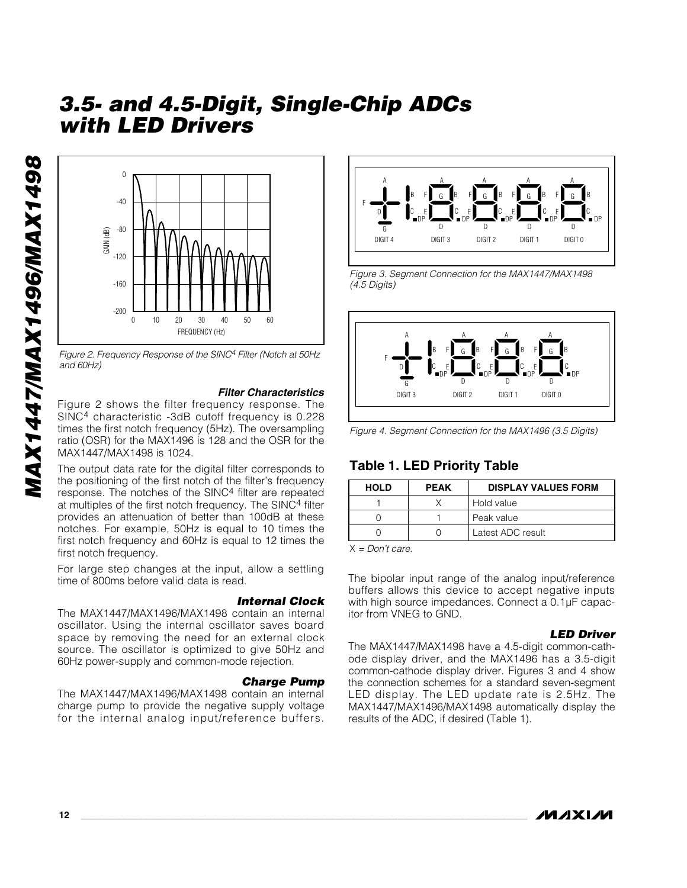

*Figure 2. Frequency Response of the SINC4 Filter (Notch at 50Hz and 60Hz)*

#### *Filter Characteristics*

Figure 2 shows the filter frequency response. The SINC 4 characteristic -3dB cutoff frequency is 0.228 times the first notch frequency (5Hz). The oversampling ratio (OSR) for the MAX1496 is 128 and the OSR for the MAX1447/MAX1498 is 1024.

The output data rate for the digital filter corresponds to the positioning of the first notch of the filter's frequency response. The notches of the SINC 4 filter are repeated at multiples of the first notch frequency. The SINC 4 filter provides an attenuation of better than 100dB at these notches. For example, 50Hz is equal to 10 times the first notch frequency and 60Hz is equal to 12 times the first notch frequency.

For large step changes at the input, allow a settling time of 800ms before valid data is read.

#### *Internal Clock* The MAX1447/MAX1496/MAX1498 contain an internal oscillator. Using the internal oscillator saves board space by removing the need for an external clock source. The oscillator is optimized to give 50Hz and 60Hz power-supply and common-mode rejection.

#### *Charge Pump*

The MAX1447/MAX1496/MAX1498 contain an internal charge pump to provide the negative supply voltage for the internal analog input/reference buffers.



*Figure 3. Segment Connection for the MAX1447/MAX1498 (4.5 Digits)*



*Figure 4. Segment Connection for the MAX1496 (3.5 Digits)*

### **Table 1. LED Priority Table**

| <b>HOLD</b> | <b>PEAK</b> | <b>DISPLAY VALUES FORM</b> |
|-------------|-------------|----------------------------|
|             |             | I Hold value               |
|             |             | Peak value                 |
|             |             | Latest ADC result          |

X *= Don't care.*

The bipolar input range of the analog input/reference buffers allows this device to accept negative inputs with high source impedances. Connect a 0.1µF capacitor from VNEG to GND.

#### *LED Driver*

The MAX1447/MAX1498 have a 4.5-digit common-cathode display driver, and the MAX1496 has a 3.5-digit common-cathode display driver. Figures 3 and 4 show the connection schemes for a standard seven-segment LED display. The LED update rate is 2.5Hz. The MAX1447/MAX1496/MAX1498 automatically display the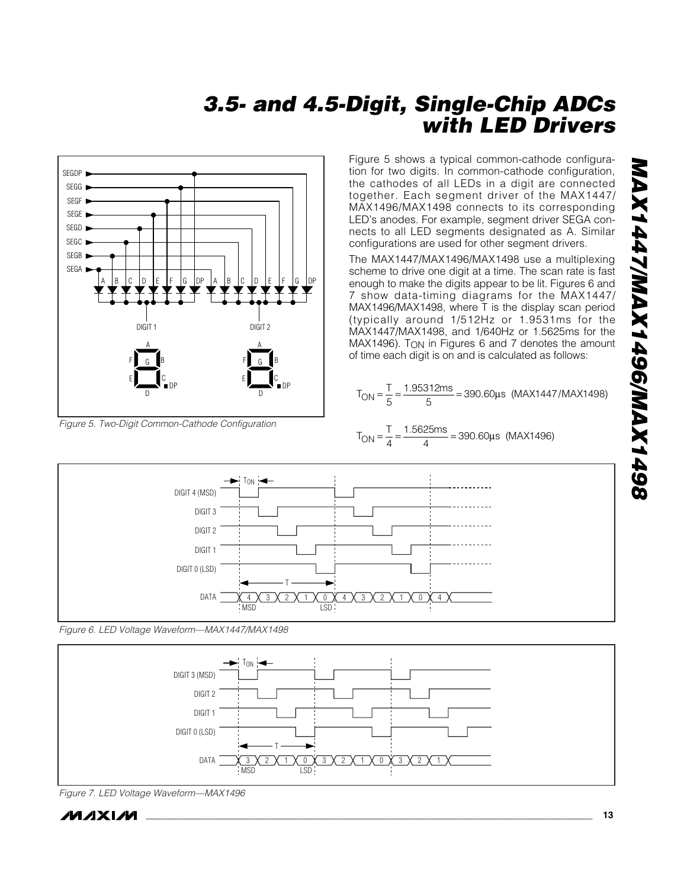

*Figure 5. Two-Digit Common-Cathode Configuration*

Figure 5 shows a typical common-cathode configuration for two digits. In common-cathode configuration, the cathodes of all LEDs in a digit are connected together. Each segment driver of the MAX1447/ MAX1496/MAX1498 connects to its corresponding LED's anodes. For example, segment driver SEGA connects to all LED segments designated as A. Similar configurations are used for other segment drivers.

The MAX1447/MAX1496/MAX1498 use a multiplexing scheme to drive one digit at a time. The scan rate is fast enough to make the digits appear to be lit. Figures 6 and 7 show data-timing diagrams for the MAX1447/ MAX1496/MAX1498, where T is the display scan period (typically around 1/512Hz or 1.9531ms for the MAX1447/MAX1498, and 1/640Hz or 1.5625ms for the MAX1496). TON in Figures 6 and 7 denotes the amount of time each digit is on and is calculated as follows:







*Figure 6. LED Voltage Waveform—MAX1447/MAX1498*



*Figure 7. LED Voltage Waveform—MAX1496*

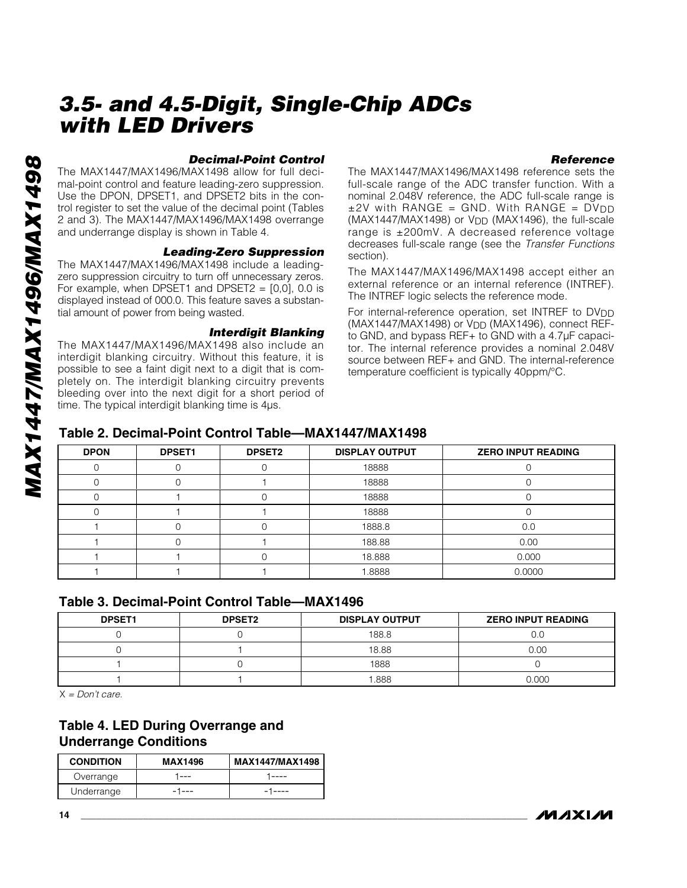#### *Decimal-Point Control*

#### *Reference*

The MAX1447/MAX1496/MAX1498 allow for full decimal-point control and feature leading-zero suppression. Use the DPON, DPSET1, and DPSET2 bits in the control register to set the value of the decimal point (Tables 2 and 3). The MAX1447/MAX1496/MAX1498 overrange and underrange display is shown in Table 4.

#### *Leading-Zero Suppression*

The MAX1447/MAX1496/MAX1498 include a leadingzero suppression circuitry to turn off unnecessary zeros. For example, when DPSET1 and DPSET2 =  $[0,0]$ , 0.0 is displayed instead of 000.0. This feature saves a substantial amount of power from being wasted.

#### *Interdigit Blanking*

The MAX1447/MAX1496/MAX1498 also include an interdigit blanking circuitry. Without this feature, it is possible to see a faint digit next to a digit that is completely on. The interdigit blanking circuitry prevents bleeding over into the next digit for a short period of time. The typical interdigit blanking time is 4µs.

The MAX1447/MAX1496/MAX1498 reference sets the full-scale range of the ADC transfer function. With a nominal 2.048V reference, the ADC full-scale range is  $±2V$  with RANGE = GND. With RANGE =  $DVDD$ (MAX1447/MAX1498) or V<sub>DD</sub> (MAX1496), the full-scale range is ±200mV. A decreased reference voltage decreases full-scale range (see the *Transfer Functions* section).

The MAX1447/MAX1496/MAX1498 accept either an external reference or an internal reference (INTREF). The INTREF logic selects the reference mode.

For internal-reference operation, set INTREF to DV<sub>DD</sub> (MAX1447/MAX1498) or VDD (MAX1496), connect REFto GND, and bypass REF+ to GND with a 4.7µF capacitor. The internal reference provides a nominal 2.048V source between REF+ and GND. The internal-reference temperature coefficient is typically 40ppm/°C.

### **Table 2. Decimal-Point Control Table—MAX1447/MAX1498**

| <b>DPON</b> | <b>DPSET1</b> | <b>DPSET2</b> | <b>DISPLAY OUTPUT</b> | <b>ZERO INPUT READING</b> |
|-------------|---------------|---------------|-----------------------|---------------------------|
|             |               |               | 18888                 |                           |
|             |               |               | 18888                 |                           |
|             |               |               | 18888                 |                           |
|             |               |               | 18888                 |                           |
|             |               |               | 1888.8                | 0.0                       |
|             |               |               | 188.88                | 0.00                      |
|             |               |               | 18.888                | 0.000                     |
|             |               |               | 1.8888                | 0.0000                    |

### **Table 3. Decimal-Point Control Table—MAX1496**

| <b>DPSET1</b> | <b>DPSET2</b> | <b>DISPLAY OUTPUT</b> | <b>ZERO INPUT READING</b> |
|---------------|---------------|-----------------------|---------------------------|
|               |               | 188.8                 | O.C                       |
|               |               | 18.88                 | 0.00                      |
|               |               | 1888                  |                           |
|               |               | .888                  | 0.000                     |

X *= Don't care.*

### **Table 4. LED During Overrange and Underrange Conditions**

| <b>CONDITION</b> | <b>MAX1496</b> | MAX1447/MAX1498 |
|------------------|----------------|-----------------|
| Overrange        | ---            |                 |
| Underrange       |                |                 |

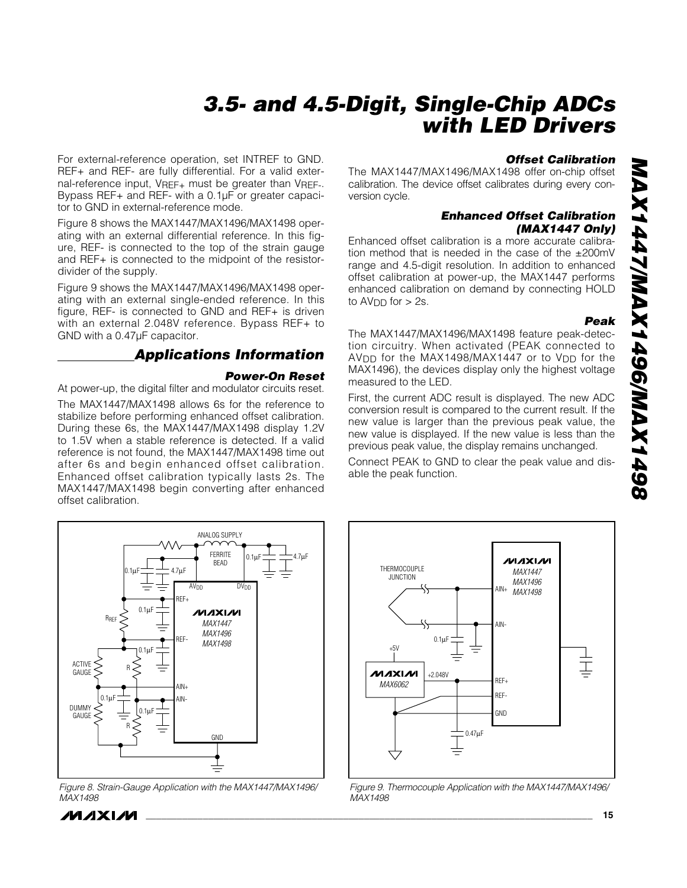For external-reference operation, set INTREF to GND. REF+ and REF- are fully differential. For a valid external-reference input, VREF+ must be greater than VREF-. Bypass REF+ and REF- with a 0.1µF or greater capacitor to GND in external-reference mode.

Figure 8 shows the MAX1447/MAX1496/MAX1498 operating with an external differential reference. In this figure, REF- is connected to the top of the strain gauge and REF+ is connected to the midpoint of the resistordivider of the supply.

Figure 9 shows the MAX1447/MAX1496/MAX1498 operating with an external single-ended reference. In this figure, REF- is connected to GND and REF+ is driven with an external 2.048V reference. Bypass REF+ to GND with a 0.47µF capacitor.

### *Applications Information*

#### *Power-On Reset*

At power-up, the digital filter and modulator circuits reset.

The MAX1447/MAX1498 allows 6s for the reference to stabilize before performing enhanced offset calibration. During these 6s, the MAX1447/MAX1498 display 1.2V to 1.5V when a stable reference is detected. If a valid reference is not found, the MAX1447/MAX1498 time out after 6s and begin enhanced offset calibration. Enhanced offset calibration typically lasts 2s. The MAX1447/MAX1498 begin converting after enhanced offset calibration.

#### *Offset Calibration*

The MAX1447/MAX1496/MAX1498 offer on-chip offset calibration. The device offset calibrates during every conversion cycle.

#### *Enhanced Offset Calibration (MAX1447 Only)*

Enhanced offset calibration is a more accurate calibration method that is needed in the case of the  $±200mV$ range and 4.5-digit resolution. In addition to enhanced offset calibration at power-up, the MAX1447 performs enhanced calibration on demand by connecting HOLD to  $AV_{DD}$  for  $>$  2s.

#### *Peak*

The MAX1447/MAX1496/MAX1498 feature peak-detection circuitry. When activated (PEAK connected to AVDD for the MAX1498/MAX1447 or to VDD for the MAX1496), the devices display only the highest voltage measured to the LED.

First, the current ADC result is displayed. The new ADC conversion result is compared to the current result. If the new value is larger than the previous peak value, the new value is displayed. If the new value is less than the previous peak value, the display remains unchanged.

Connect PEAK to GND to clear the peak value and disable the peak function.



*Figure 8. Strain-Gauge Application with the MAX1447/MAX1496/ MAX1498*

**MAXM** 



*Figure 9. Thermocouple Application with the MAX1447/MAX1496/ MAX1498*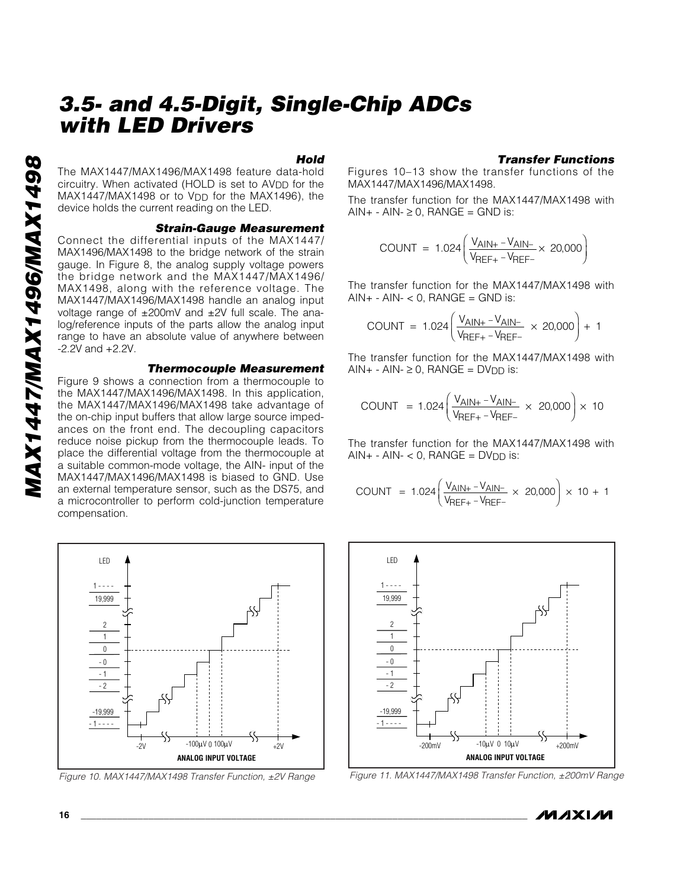#### *Hold*

The MAX1447/MAX1496/MAX1498 feature data-hold circuitry. When activated (HOLD is set to AV<sub>DD</sub> for the MAX1447/MAX1498 or to V<sub>DD</sub> for the MAX1496), the device holds the current reading on the LED.

#### *Strain-Gauge Measurement*

Connect the differential inputs of the MAX1447/ MAX1496/MAX1498 to the bridge network of the strain gauge. In Figure 8, the analog supply voltage powers the bridge network and the MAX1447/MAX1496/ MAX1498, along with the reference voltage. The MAX1447/MAX1496/MAX1498 handle an analog input voltage range of  $\pm 200$ mV and  $\pm 2V$  full scale. The analog/reference inputs of the parts allow the analog input range to have an absolute value of anywhere between -2.2V and +2.2V.

#### *Thermocouple Measurement*

Figure 9 shows a connection from a thermocouple to the MAX1447/MAX1496/MAX1498. In this application, the MAX1447/MAX1496/MAX1498 take advantage of the on-chip input buffers that allow large source impedances on the front end. The decoupling capacitors reduce noise pickup from the thermocouple leads. To place the differential voltage from the thermocouple at a suitable common-mode voltage, the AIN- input of the MAX1447/MAX1496/MAX1498 is biased to GND. Use an external temperature sensor, such as the DS75, and a microcontroller to perform cold-junction temperature compensation.



*Figure 10. MAX1447/MAX1498 Transfer Function, ±2V Range*

#### *Transfer Functions*

Figures 10–13 show the transfer functions of the MAX1447/MAX1496/MAX1498.

The transfer function for the MAX1447/MAX1498 with AIN+ - AIN- ≥ 0, RANGE = GND is:

$$
COUNT = 1.024 \left( \frac{V_{AlN+} - V_{AlN-}}{V_{REF+} - V_{REF-}} \times 20,000 \right)
$$

The transfer function for the MAX1447/MAX1498 with  $AIN+ - AIN - < 0$ ,  $RANGE = GND$  is:

$$
COUNT = 1.024 \left( \frac{V_{AIN+} - V_{AIN-}}{V_{REF+} - V_{REF-}} \times 20,000 \right) + 1
$$

The transfer function for the MAX1447/MAX1498 with  $\mathsf{AIN}+ - \mathsf{AIN}-\geq 0, \mathsf{RANGE} = \mathsf{DVDD}$  is:

$$
COUNT = 1.024 \left( \frac{V_{AIN+} - V_{AIN-}}{V_{REF+} - V_{REF-}} \times 20,000 \right) \times 10
$$

The transfer function for the MAX1447/MAX1498 with  $AlN+ - AlN- < 0$ ,  $RANGE = DVDD$  is:

$$
COUNT = 1.024 \left( \frac{V_{AlN+} - V_{AlN-}}{V_{REF+} - V_{REF-}} \times 20,000 \right) \times 10 + 1
$$



*Figure 11. MAX1447/MAX1498 Transfer Function, ±200mV Range*

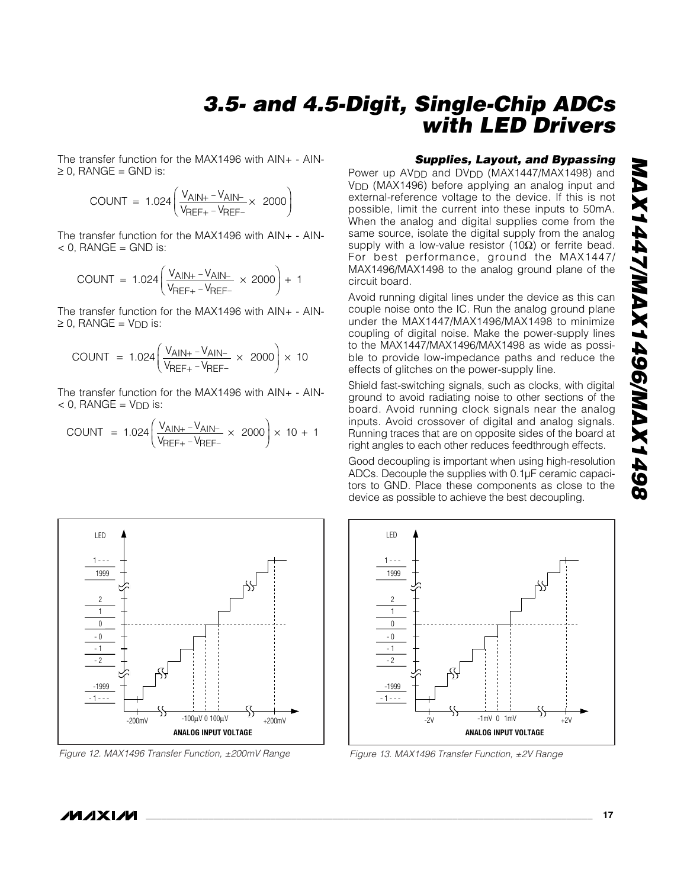The transfer function for the MAX1496 with AIN+ - AIN-  $\geq$  0, RANGE = GND is:

$$
COUNT = 1.024 \left( \frac{V_{AlN+} - V_{AlN-}}{V_{REF+} - V_{REF-}} \times 2000 \right)
$$

The transfer function for the MAX1496 with AIN+ - AIN-  $<$  0, RANGE = GND is:

$$
COUNT = 1.024 \left( \frac{V_{AlN+} - V_{AlN-}}{V_{REF+} - V_{REF-}} \times 2000 \right) + 1
$$

The transfer function for the MAX1496 with AIN+ - AIN-  $\geq$  0, RANGE =  $V_{\text{DD}}$  is:

$$
COUNT = 1.024 \left( \frac{V_{AlN+} - V_{AlN-}}{V_{REF+} - V_{REF-}} \times 2000 \right) \times 10
$$

The transfer function for the MAX1496 with AIN+ - AIN-  $<$  0, RANGE = V<sub>DD</sub> is:

$$
COUNT = 1.024 \left( \frac{V_{AIN+} - V_{AIN-}}{V_{REF+} - V_{REF-}} \times 2000 \right) \times 10 + 1
$$

#### *Supplies, Layout, and Bypassing*

Power up AV<sub>DD</sub> and DV<sub>DD</sub> (MAX1447/MAX1498) and VDD (MAX1496) before applying an analog input and external-reference voltage to the device. If this is not possible, limit the current into these inputs to 50mA. When the analog and digital supplies come from the same source, isolate the digital supply from the analog supply with a low-value resistor (10 $\Omega$ ) or ferrite bead. For best performance, ground the MAX1447/ MAX1496/MAX1498 to the analog ground plane of the circuit board.

Avoid running digital lines under the device as this can couple noise onto the IC. Run the analog ground plane under the MAX1447/MAX1496/MAX1498 to minimize coupling of digital noise. Make the power-supply lines to the MAX1447/MAX1496/MAX1498 as wide as possible to provide low-impedance paths and reduce the effects of glitches on the power-supply line.

Shield fast-switching signals, such as clocks, with digital ground to avoid radiating noise to other sections of the board. Avoid running clock signals near the analog inputs. Avoid crossover of digital and analog signals. Running traces that are on opposite sides of the board at right angles to each other reduces feedthrough effects.

Good decoupling is important when using high-resolution ADCs. Decouple the supplies with 0.1µF ceramic capacitors to GND. Place these components as close to the device as possible to achieve the best decoupling.



*Figure 13. MAX1496 Transfer Function, ±2V Range*





*Figure 12. MAX1496 Transfer Function, ±200mV Range*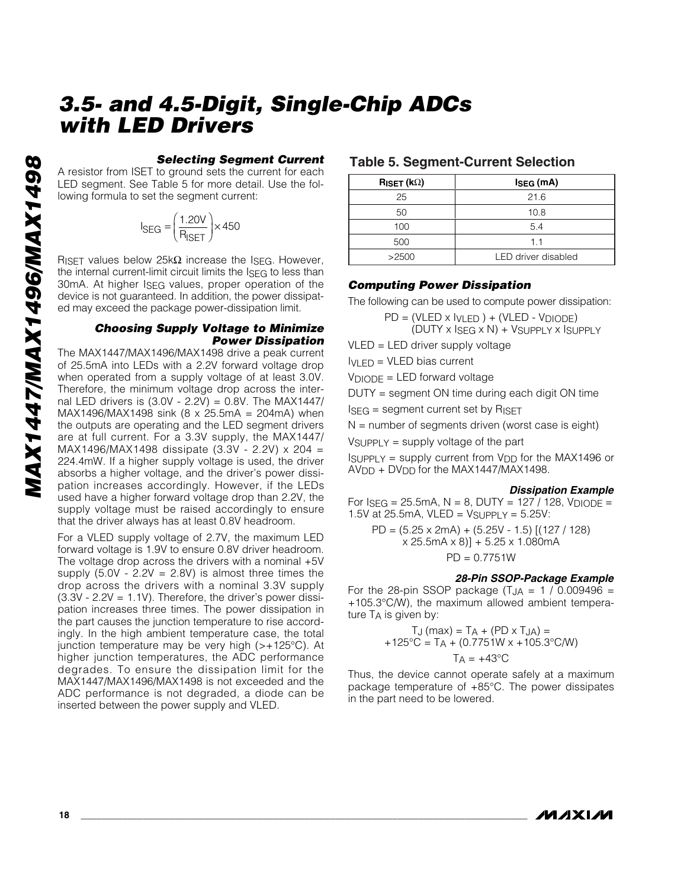#### *Selecting Segment Current*

A resistor from ISET to ground sets the current for each LED segment. See Table 5 for more detail. Use the following formula to set the segment current:<br> $I_{\text{SEG}} = \left(\frac{1.20V}{R_{\text{ISET}}} \right) \times 450$ <br>RISET values below 25kΩ increase the ISEG. However,

$$
I_{SEG} = \left(\frac{1.20V}{R_{ISET}}\right) \times 450
$$

the internal current-limit circuit limits the ISEG to less than 30mA. At higher Is<sub>FG</sub> values, proper operation of the device is not guaranteed. In addition, the power dissipated may exceed the package power-dissipation limit.

#### *Choosing Supply Voltage to Minimize Power Dissipation*

The MAX1447/MAX1496/MAX1498 drive a peak current of 25.5mA into LEDs with a 2.2V forward voltage drop when operated from a supply voltage of at least 3.0V. Therefore, the minimum voltage drop across the internal LED drivers is  $(3.0V - 2.2V) = 0.8V$ . The MAX1447/ MAX1496/MAX1498 sink (8 x 25.5mA = 204mA) when the outputs are operating and the LED segment drivers are at full current. For a 3.3V supply, the MAX1447/ MAX1496/MAX1498 dissipate (3.3V - 2.2V) x 204 = 224.4mW. If a higher supply voltage is used, the driver absorbs a higher voltage, and the driver's power dissipation increases accordingly. However, if the LEDs used have a higher forward voltage drop than 2.2V, the supply voltage must be raised accordingly to ensure that the driver always has at least 0.8V headroom.

For a VLED supply voltage of 2.7V, the maximum LED forward voltage is 1.9V to ensure 0.8V driver headroom. The voltage drop across the drivers with a nominal +5V supply  $(5.0V - 2.2V = 2.8V)$  is almost three times the drop across the drivers with a nominal 3.3V supply  $(3.3V - 2.2V = 1.1V)$ . Therefore, the driver's power dissipation increases three times. The power dissipation in the part causes the junction temperature to rise accordingly. In the high ambient temperature case, the total junction temperature may be very high  $(>+125^{\circ}C)$ . At higher junction temperatures, the ADC performance degrades. To ensure the dissipation limit for the MAX1447/MAX1496/MAX1498 is not exceeded and the ADC performance is not degraded, a diode can be inserted between the power supply and VLED.

### **Table 5. Segment-Current Selection**

| $R$ ISET ( $k\Omega$ ) | $ISEG$ (mA)         |
|------------------------|---------------------|
| 25                     | 21.6                |
| 50                     | 10.8                |
| 100                    | 5.4                 |
| 500                    | 11                  |
| >2500                  | LED driver disabled |

#### *Computing Power Dissipation*

The following can be used to compute power dissipation:

$$
PD = (VLED \times I_{VLED}) + (VLED - VDIODE)
$$
  
(DUTY x  $I_{SEG} \times N) + V_{SUPPLY} \times I_{SUPPLY}$ 

VLED = LED driver supply voltage

 $I_{VI}$   $F_D$  = VLED bias current

 $V$ DIODE = LED forward voltage

DUTY = segment ON time during each digit ON time

 $IsFG = segment current set by RISFT$ 

 $N =$  number of segments driven (worst case is eight)

 $V$ SUPPLY = supply voltage of the part

 $I_{\text{SUPPLY}} = \text{supply current from } V_{\text{DD}}$  for the MAX1496 or  $AV<sub>DD</sub> + DV<sub>DD</sub>$  for the MAX1447/MAX1498.

#### *Dissipation Example*

For ISEG = 25.5mA, N = 8, DUTY = 127 / 128, VDIODE = 1.5V at 25.5mA, VLED =  $V_{\text{SUPPLY}}$  = 5.25V:

$$
PD = (5.25 \times 2mA) + (5.25V - 1.5) [(127 / 128) \times 25.5mA \times 8)] + 5.25 \times 1.080mA
$$

$$
PD = 0.7751W
$$

#### *28-Pin SSOP-Package Example*

For the 28-pin SSOP package (T<sub>JA</sub> = 1 / 0.009496 = +105.3°C/W), the maximum allowed ambient temperature TA is given by:

$$
T_J (max) = T_A + (PD \times T_JA) =
$$
  
+125°C = T\_A + (0.7751W × +105.3°C/W)  

$$
T_A = +43°C
$$

Thus, the device cannot operate safely at a maximum package temperature of +85°C. The power dissipates in the part need to be lowered.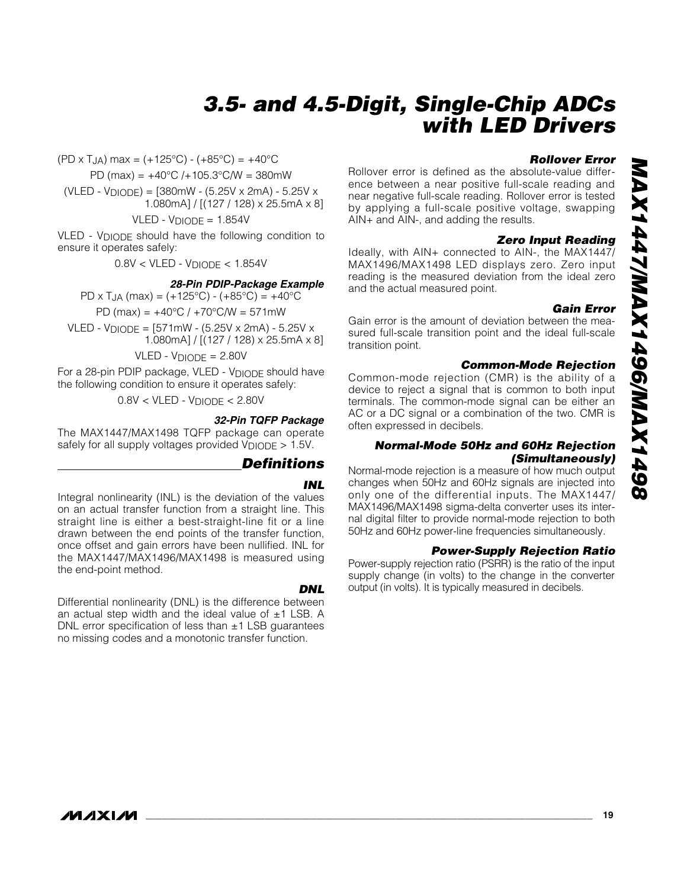$(PD \times TJA)$  max =  $(+125^{\circ}C) - (+85^{\circ}C) = +40^{\circ}C$ 

PD (max) =  $+40^{\circ}$ C / $+105.3^{\circ}$ C/W = 380mW

(VLED - VDIODE) = [380mW - (5.25V x 2mA) - 5.25V x 1.080mA] / [(127 / 128) x 25.5mA x 8]

 $VLED - VDIODE = 1.854V$ 

VLED - V<sub>DIODE</sub> should have the following condition to ensure it operates safely:

 $0.8V < VLED - VDDDE < 1.854V$ 

#### *28-Pin PDIP-Package Example*

PD x T<sub>JA</sub> (max) =  $(+125^{\circ}C) - (+85^{\circ}C) = +40^{\circ}C$ 

PD (max) =  $+40^{\circ}$ C /  $+70^{\circ}$ C/W = 571mW

VLED - V<sub>DIODE</sub> =  $[571 \text{mW} - (5.25 \text{V} \times 2 \text{mA}) - 5.25 \text{V} \times$ 1.080mA] / [(127 / 128) x 25.5mA x 8]

 $VLED - VDDDE = 2.80V$ 

For a 28-pin PDIP package, VLED - V<sub>DIODE</sub> should have the following condition to ensure it operates safely:

 $0.8V < VLED - VDDDE < 2.80V$ 

#### *32-Pin TQFP Package*

The MAX1447/MAX1498 TQFP package can operate safely for all supply voltages provided  $V_{\text{DIODE}} > 1.5V$ .

#### *Definitions*

#### *INL*

Integral nonlinearity (INL) is the deviation of the values on an actual transfer function from a straight line. This straight line is either a best-straight-line fit or a line drawn between the end points of the transfer function, once offset and gain errors have been nullified. INL for the MAX1447/MAX1496/MAX1498 is measured using the end-point method.

#### *DNL*

Differential nonlinearity (DNL) is the difference between an actual step width and the ideal value of  $\pm 1$  LSB. A DNL error specification of less than  $±1$  LSB guarantees no missing codes and a monotonic transfer function.

#### *Rollover Error*

Rollover error is defined as the absolute-value difference between a near positive full-scale reading and near negative full-scale reading. Rollover error is tested by applying a full-scale positive voltage, swapping AIN+ and AIN-, and adding the results.

#### *Zero Input Reading*

Ideally, with AIN+ connected to AIN-, the MAX1447/ MAX1496/MAX1498 LED displays zero. Zero input reading is the measured deviation from the ideal zero and the actual measured point.

#### *Gain Error*

Gain error is the amount of deviation between the measured full-scale transition point and the ideal full-scale transition point.

#### *Common-Mode Rejection*

Common-mode rejection (CMR) is the ability of a device to reject a signal that is common to both input terminals. The common-mode signal can be either an AC or a DC signal or a combination of the two. CMR is often expressed in decibels.

#### *Normal-Mode 50Hz and 60Hz Rejection (Simultaneously)*

Normal-mode rejection is a measure of how much output changes when 50Hz and 60Hz signals are injected into only one of the differential inputs. The MAX1447/ MAX1496/MAX1498 sigma-delta converter uses its internal digital filter to provide normal-mode rejection to both 50Hz and 60Hz power-line frequencies simultaneously.

#### *Power-Supply Rejection Ratio*

Power-supply rejection ratio (PSRR) is the ratio of the input supply change (in volts) to the change in the converter output (in volts). It is typically measured in decibels.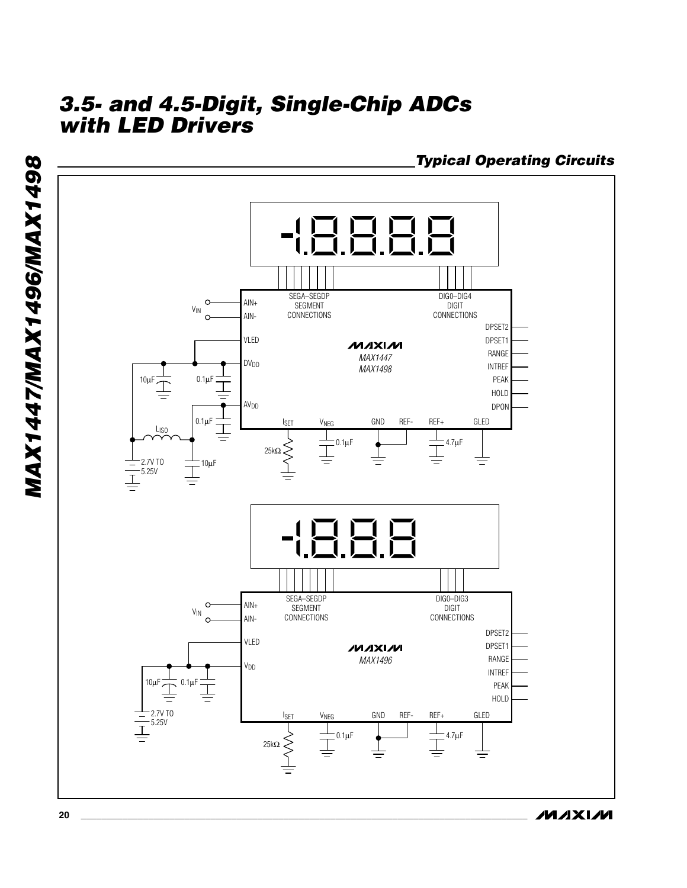*Typical Operating Circuits*



**20 \_\_\_\_\_\_\_\_\_\_\_\_\_\_\_\_\_\_\_\_\_\_\_\_\_\_\_\_\_\_\_\_\_\_\_\_\_\_\_\_\_\_\_\_\_\_\_\_\_\_\_\_\_\_\_\_\_\_\_\_\_\_\_\_\_\_\_\_\_\_\_\_\_\_\_\_\_\_\_\_\_\_\_\_\_\_**

**MAXIM**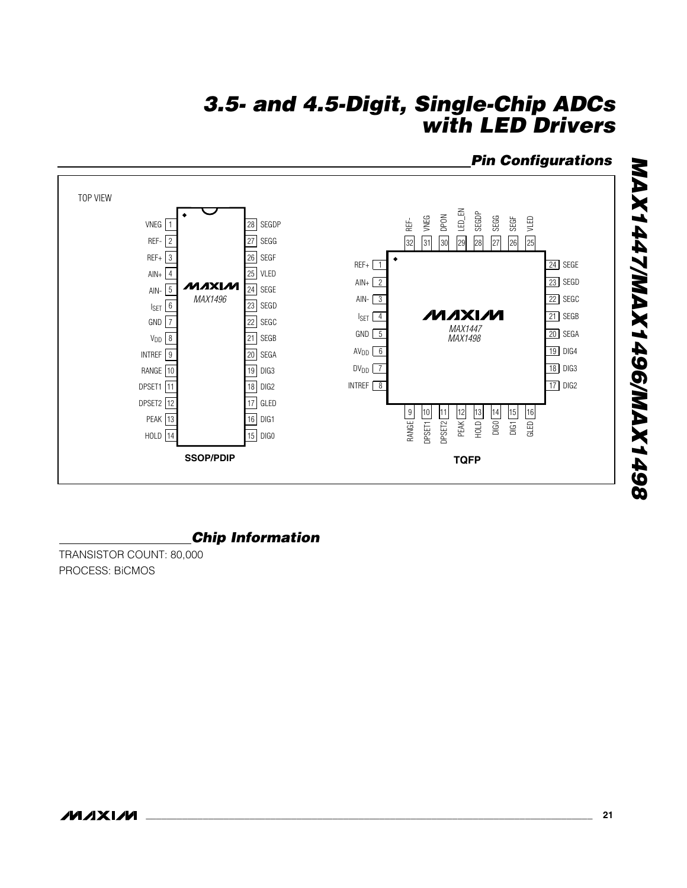### *Pin Configurations*



### *Chip Information*

TRANSISTOR COUNT: 80,000 PROCESS: BiCMOS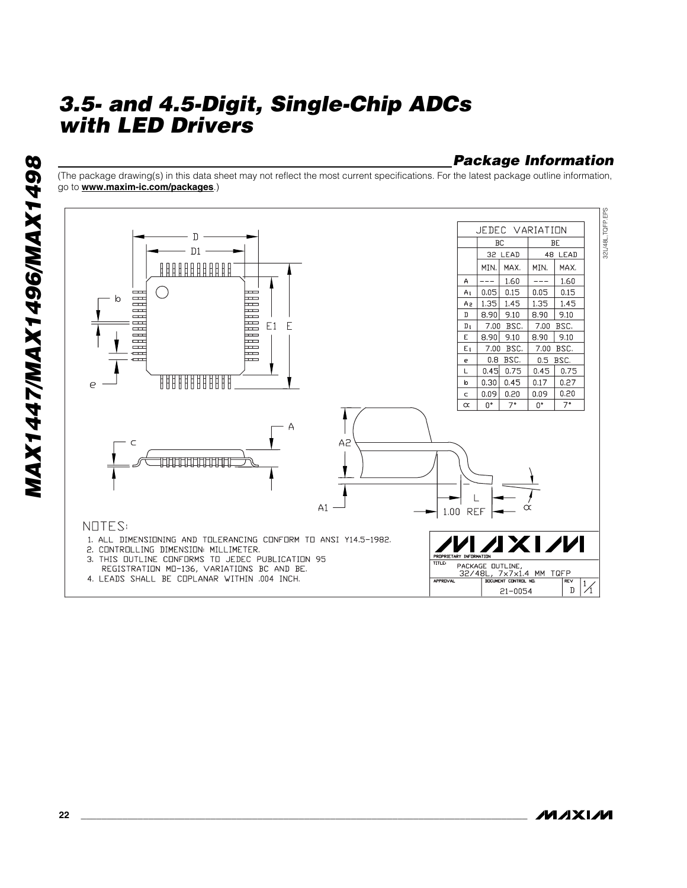### *Package Information*

(The package drawing(s) in this data sheet may not reflect the most current specifications. For the latest package outline information, go to **www.maxim-ic.com/packages**.)

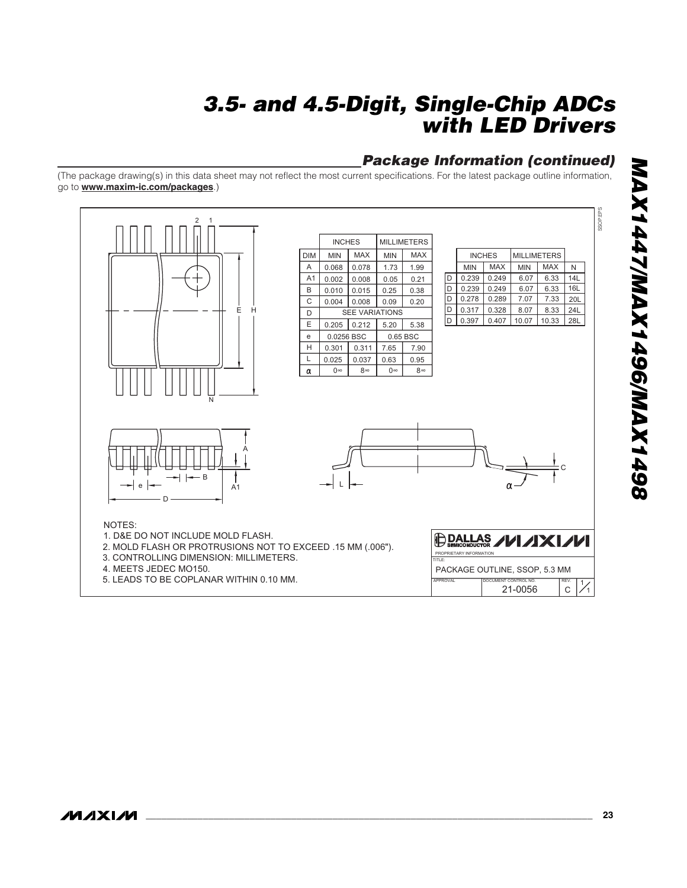## *Package Information (continued)*

(The package drawing(s) in this data sheet may not reflect the most current specifications. For the latest package outline information, go to **www.maxim-ic.com/packages**.)